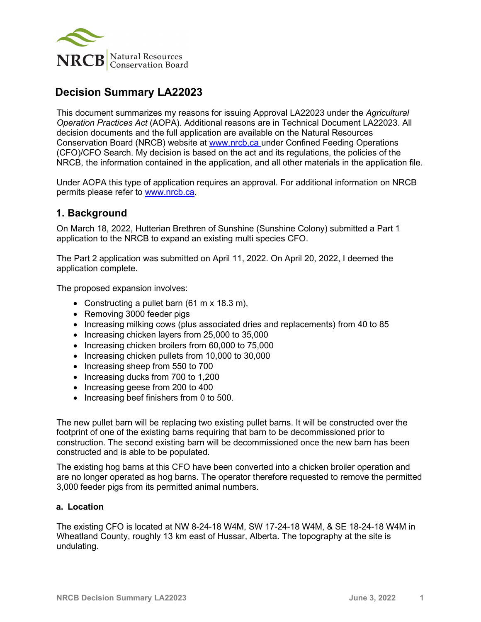

# **Decision Summary LA22023**

This document summarizes my reasons for issuing Approval LA22023 under the *Agricultural Operation Practices Act* (AOPA). Additional reasons are in Technical Document LA22023. All decision documents and the full application are available on the Natural Resources Conservation Board (NRCB) website at [www.nrcb.ca](http://www.nrcb.ca/) under Confined Feeding Operations (CFO)/CFO Search. My decision is based on the act and its regulations, the policies of the NRCB, the information contained in the application, and all other materials in the application file.

Under AOPA this type of application requires an approval. For additional information on NRCB permits please refer to [www.nrcb.ca.](file://NRCB-File01/nosync/Application%20Form%20Review/Decision%20Summary%20Template%2027%20April%202020/www.nrcb.ca)

### **1. Background**

On March 18, 2022, Hutterian Brethren of Sunshine (Sunshine Colony) submitted a Part 1 application to the NRCB to expand an existing multi species CFO.

The Part 2 application was submitted on April 11, 2022. On April 20, 2022, I deemed the application complete.

The proposed expansion involves:

- Constructing a pullet barn (61 m x 18.3 m),
- Removing 3000 feeder pigs
- Increasing milking cows (plus associated dries and replacements) from 40 to 85
- Increasing chicken layers from 25,000 to 35,000
- Increasing chicken broilers from 60,000 to 75,000
- Increasing chicken pullets from 10,000 to 30,000
- Increasing sheep from 550 to 700
- Increasing ducks from 700 to 1,200
- Increasing geese from 200 to 400
- Increasing beef finishers from 0 to 500.

The new pullet barn will be replacing two existing pullet barns. It will be constructed over the footprint of one of the existing barns requiring that barn to be decommissioned prior to construction. The second existing barn will be decommissioned once the new barn has been constructed and is able to be populated.

The existing hog barns at this CFO have been converted into a chicken broiler operation and are no longer operated as hog barns. The operator therefore requested to remove the permitted 3,000 feeder pigs from its permitted animal numbers.

#### **a. Location**

The existing CFO is located at NW 8-24-18 W4M, SW 17-24-18 W4M, & SE 18-24-18 W4M in Wheatland County, roughly 13 km east of Hussar, Alberta. The topography at the site is undulating.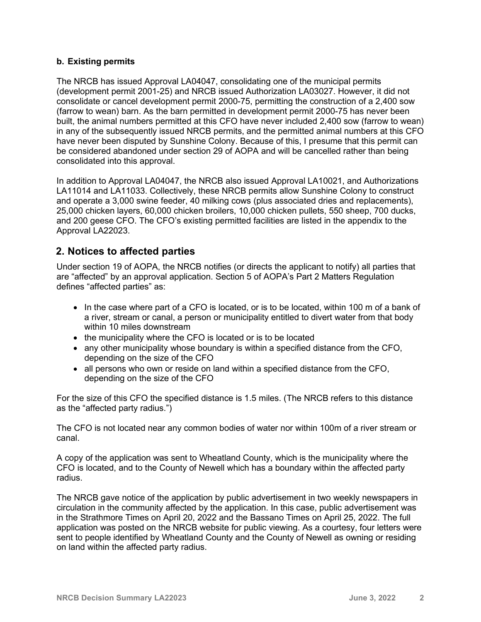#### **b. Existing permits**

The NRCB has issued Approval LA04047, consolidating one of the municipal permits (development permit 2001-25) and NRCB issued Authorization LA03027. However, it did not consolidate or cancel development permit 2000-75, permitting the construction of a 2,400 sow (farrow to wean) barn. As the barn permitted in development permit 2000-75 has never been built, the animal numbers permitted at this CFO have never included 2,400 sow (farrow to wean) in any of the subsequently issued NRCB permits, and the permitted animal numbers at this CFO have never been disputed by Sunshine Colony. Because of this, I presume that this permit can be considered abandoned under section 29 of AOPA and will be cancelled rather than being consolidated into this approval.

In addition to Approval LA04047, the NRCB also issued Approval LA10021, and Authorizations LA11014 and LA11033. Collectively, these NRCB permits allow Sunshine Colony to construct and operate a 3,000 swine feeder, 40 milking cows (plus associated dries and replacements), 25,000 chicken layers, 60,000 chicken broilers, 10,000 chicken pullets, 550 sheep, 700 ducks, and 200 geese CFO. The CFO's existing permitted facilities are listed in the appendix to the Approval LA22023.

# **2. Notices to affected parties**

Under section 19 of AOPA, the NRCB notifies (or directs the applicant to notify) all parties that are "affected" by an approval application. Section 5 of AOPA's Part 2 Matters Regulation defines "affected parties" as:

- In the case where part of a CFO is located, or is to be located, within 100 m of a bank of a river, stream or canal, a person or municipality entitled to divert water from that body within 10 miles downstream
- the municipality where the CFO is located or is to be located
- any other municipality whose boundary is within a specified distance from the CFO, depending on the size of the CFO
- all persons who own or reside on land within a specified distance from the CFO, depending on the size of the CFO

For the size of this CFO the specified distance is 1.5 miles. (The NRCB refers to this distance as the "affected party radius.")

The CFO is not located near any common bodies of water nor within 100m of a river stream or canal.

A copy of the application was sent to Wheatland County, which is the municipality where the CFO is located, and to the County of Newell which has a boundary within the affected party radius.

The NRCB gave notice of the application by public advertisement in two weekly newspapers in circulation in the community affected by the application. In this case, public advertisement was in the Strathmore Times on April 20, 2022 and the Bassano Times on April 25, 2022. The full application was posted on the NRCB website for public viewing. As a courtesy, four letters were sent to people identified by Wheatland County and the County of Newell as owning or residing on land within the affected party radius.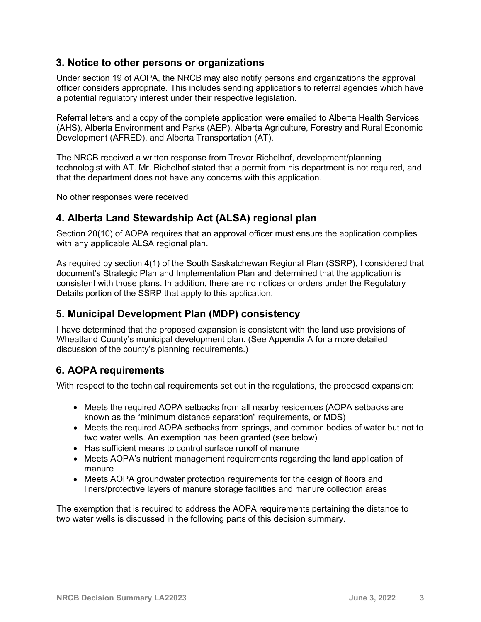### **3. Notice to other persons or organizations**

Under section 19 of AOPA, the NRCB may also notify persons and organizations the approval officer considers appropriate. This includes sending applications to referral agencies which have a potential regulatory interest under their respective legislation.

Referral letters and a copy of the complete application were emailed to Alberta Health Services (AHS), Alberta Environment and Parks (AEP), Alberta Agriculture, Forestry and Rural Economic Development (AFRED), and Alberta Transportation (AT).

The NRCB received a written response from Trevor Richelhof, development/planning technologist with AT. Mr. Richelhof stated that a permit from his department is not required, and that the department does not have any concerns with this application.

No other responses were received

### **4. Alberta Land Stewardship Act (ALSA) regional plan**

Section 20(10) of AOPA requires that an approval officer must ensure the application complies with any applicable ALSA regional plan.

As required by section 4(1) of the South Saskatchewan Regional Plan (SSRP), I considered that document's Strategic Plan and Implementation Plan and determined that the application is consistent with those plans. In addition, there are no notices or orders under the Regulatory Details portion of the SSRP that apply to this application.

# **5. Municipal Development Plan (MDP) consistency**

I have determined that the proposed expansion is consistent with the land use provisions of Wheatland County's municipal development plan. (See Appendix A for a more detailed discussion of the county's planning requirements.)

# **6. AOPA requirements**

With respect to the technical requirements set out in the regulations, the proposed expansion:

- Meets the required AOPA setbacks from all nearby residences (AOPA setbacks are known as the "minimum distance separation" requirements, or MDS)
- Meets the required AOPA setbacks from springs, and common bodies of water but not to two water wells. An exemption has been granted (see below)
- Has sufficient means to control surface runoff of manure
- Meets AOPA's nutrient management requirements regarding the land application of manure
- Meets AOPA groundwater protection requirements for the design of floors and liners/protective layers of manure storage facilities and manure collection areas

The exemption that is required to address the AOPA requirements pertaining the distance to two water wells is discussed in the following parts of this decision summary.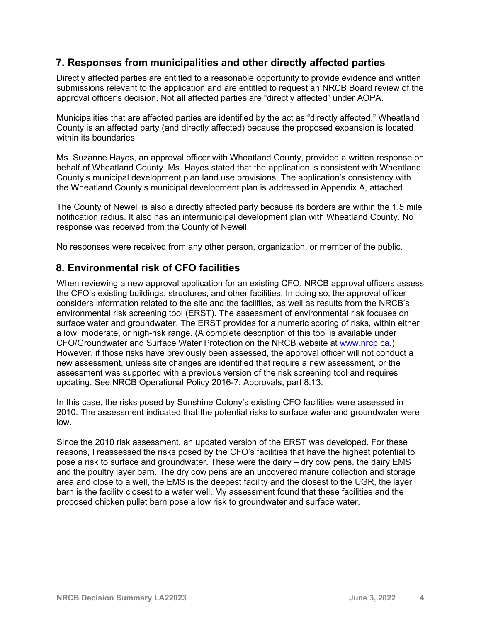### **7. Responses from municipalities and other directly affected parties**

Directly affected parties are entitled to a reasonable opportunity to provide evidence and written submissions relevant to the application and are entitled to request an NRCB Board review of the approval officer's decision. Not all affected parties are "directly affected" under AOPA.

Municipalities that are affected parties are identified by the act as "directly affected." Wheatland County is an affected party (and directly affected) because the proposed expansion is located within its boundaries.

Ms. Suzanne Hayes, an approval officer with Wheatland County, provided a written response on behalf of Wheatland County. Ms. Hayes stated that the application is consistent with Wheatland County's municipal development plan land use provisions. The application's consistency with the Wheatland County's municipal development plan is addressed in Appendix A, attached.

The County of Newell is also a directly affected party because its borders are within the 1.5 mile notification radius. It also has an intermunicipal development plan with Wheatland County. No response was received from the County of Newell.

No responses were received from any other person, organization, or member of the public.

### **8. Environmental risk of CFO facilities**

When reviewing a new approval application for an existing CFO, NRCB approval officers assess the CFO's existing buildings, structures, and other facilities. In doing so, the approval officer considers information related to the site and the facilities, as well as results from the NRCB's environmental risk screening tool (ERST). The assessment of environmental risk focuses on surface water and groundwater. The ERST provides for a numeric scoring of risks, within either a low, moderate, or high-risk range. (A complete description of this tool is available under CFO/Groundwater and Surface Water Protection on the NRCB website at [www.nrcb.ca.](http://www.nrcb.ca/)) However, if those risks have previously been assessed, the approval officer will not conduct a new assessment, unless site changes are identified that require a new assessment, or the assessment was supported with a previous version of the risk screening tool and requires updating. See NRCB Operational Policy 2016-7: Approvals, part 8.13.

In this case, the risks posed by Sunshine Colony's existing CFO facilities were assessed in 2010. The assessment indicated that the potential risks to surface water and groundwater were low.

Since the 2010 risk assessment, an updated version of the ERST was developed. For these reasons, I reassessed the risks posed by the CFO's facilities that have the highest potential to pose a risk to surface and groundwater. These were the dairy – dry cow pens, the dairy EMS and the poultry layer barn. The dry cow pens are an uncovered manure collection and storage area and close to a well, the EMS is the deepest facility and the closest to the UGR, the layer barn is the facility closest to a water well. My assessment found that these facilities and the proposed chicken pullet barn pose a low risk to groundwater and surface water.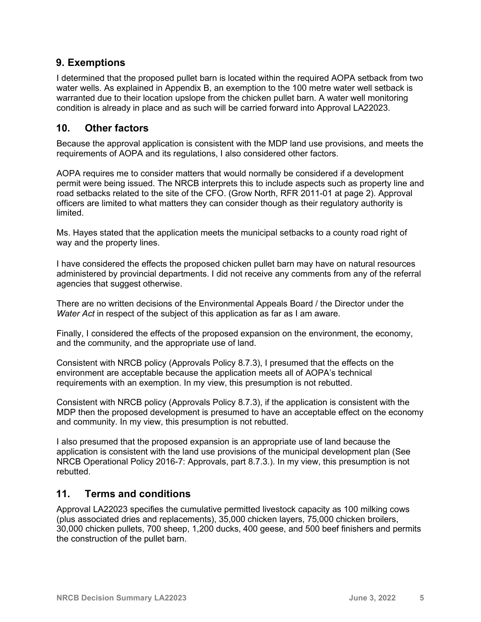# **9. Exemptions**

I determined that the proposed pullet barn is located within the required AOPA setback from two water wells. As explained in Appendix B, an exemption to the 100 metre water well setback is warranted due to their location upslope from the chicken pullet barn. A water well monitoring condition is already in place and as such will be carried forward into Approval LA22023.

### **10. Other factors**

Because the approval application is consistent with the MDP land use provisions, and meets the requirements of AOPA and its regulations, I also considered other factors.

AOPA requires me to consider matters that would normally be considered if a development permit were being issued. The NRCB interprets this to include aspects such as property line and road setbacks related to the site of the CFO. (Grow North, RFR 2011-01 at page 2). Approval officers are limited to what matters they can consider though as their regulatory authority is limited.

Ms. Hayes stated that the application meets the municipal setbacks to a county road right of way and the property lines.

I have considered the effects the proposed chicken pullet barn may have on natural resources administered by provincial departments. I did not receive any comments from any of the referral agencies that suggest otherwise.

There are no written decisions of the Environmental Appeals Board / the Director under the *Water Act* in respect of the subject of this application as far as I am aware.

Finally, I considered the effects of the proposed expansion on the environment, the economy, and the community, and the appropriate use of land.

Consistent with NRCB policy (Approvals Policy 8.7.3), I presumed that the effects on the environment are acceptable because the application meets all of AOPA's technical requirements with an exemption. In my view, this presumption is not rebutted.

Consistent with NRCB policy (Approvals Policy 8.7.3), if the application is consistent with the MDP then the proposed development is presumed to have an acceptable effect on the economy and community. In my view, this presumption is not rebutted.

I also presumed that the proposed expansion is an appropriate use of land because the application is consistent with the land use provisions of the municipal development plan (See NRCB Operational Policy 2016-7: Approvals, part 8.7.3.). In my view, this presumption is not rebutted.

### **11. Terms and conditions**

Approval LA22023 specifies the cumulative permitted livestock capacity as 100 milking cows (plus associated dries and replacements), 35,000 chicken layers, 75,000 chicken broilers, 30,000 chicken pullets, 700 sheep, 1,200 ducks, 400 geese, and 500 beef finishers and permits the construction of the pullet barn.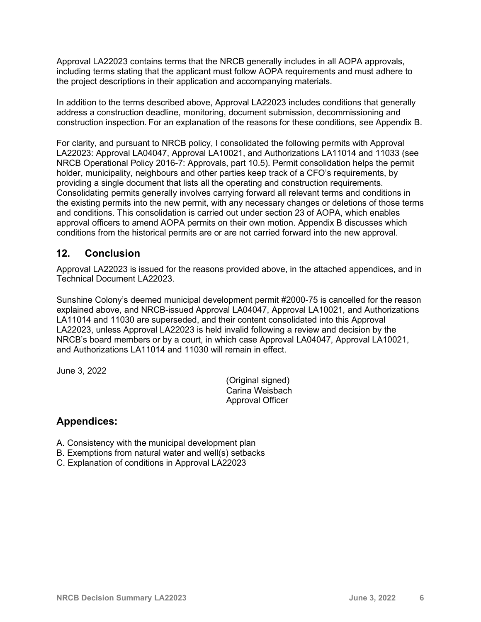Approval LA22023 contains terms that the NRCB generally includes in all AOPA approvals, including terms stating that the applicant must follow AOPA requirements and must adhere to the project descriptions in their application and accompanying materials.

In addition to the terms described above, Approval LA22023 includes conditions that generally address a construction deadline, monitoring, document submission, decommissioning and construction inspection. For an explanation of the reasons for these conditions, see Appendix B.

For clarity, and pursuant to NRCB policy, I consolidated the following permits with Approval LA22023: Approval LA04047, Approval LA10021, and Authorizations LA11014 and 11033 (see NRCB Operational Policy 2016-7: Approvals, part 10.5). Permit consolidation helps the permit holder, municipality, neighbours and other parties keep track of a CFO's requirements, by providing a single document that lists all the operating and construction requirements. Consolidating permits generally involves carrying forward all relevant terms and conditions in the existing permits into the new permit, with any necessary changes or deletions of those terms and conditions. This consolidation is carried out under section 23 of AOPA, which enables approval officers to amend AOPA permits on their own motion. Appendix B discusses which conditions from the historical permits are or are not carried forward into the new approval.

### **12. Conclusion**

Approval LA22023 is issued for the reasons provided above, in the attached appendices, and in Technical Document LA22023.

Sunshine Colony's deemed municipal development permit #2000-75 is cancelled for the reason explained above, and NRCB-issued Approval LA04047, Approval LA10021, and Authorizations LA11014 and 11030 are superseded, and their content consolidated into this Approval LA22023, unless Approval LA22023 is held invalid following a review and decision by the NRCB's board members or by a court, in which case Approval LA04047, Approval LA10021, and Authorizations LA11014 and 11030 will remain in effect.

June 3, 2022

(Original signed) Carina Weisbach Approval Officer

### **Appendices:**

- A. Consistency with the municipal development plan
- B. Exemptions from natural water and well(s) setbacks
- C. Explanation of conditions in Approval LA22023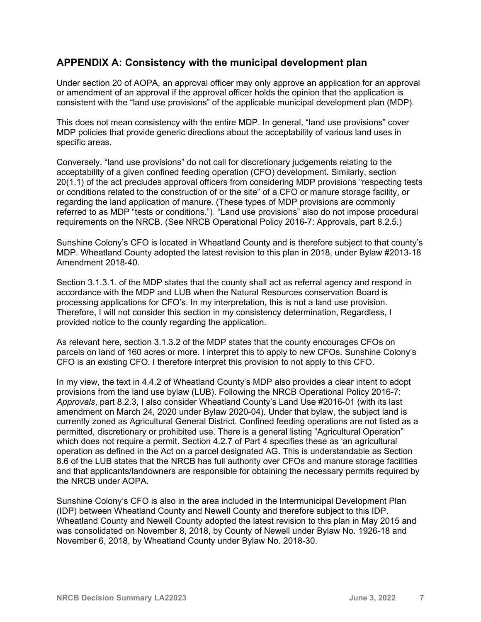### **APPENDIX A: Consistency with the municipal development plan**

Under section 20 of AOPA, an approval officer may only approve an application for an approval or amendment of an approval if the approval officer holds the opinion that the application is consistent with the "land use provisions" of the applicable municipal development plan (MDP).

This does not mean consistency with the entire MDP. In general, "land use provisions" cover MDP policies that provide generic directions about the acceptability of various land uses in specific areas.

Conversely, "land use provisions" do not call for discretionary judgements relating to the acceptability of a given confined feeding operation (CFO) development. Similarly, section 20(1.1) of the act precludes approval officers from considering MDP provisions "respecting tests or conditions related to the construction of or the site" of a CFO or manure storage facility, or regarding the land application of manure. (These types of MDP provisions are commonly referred to as MDP "tests or conditions."). "Land use provisions" also do not impose procedural requirements on the NRCB. (See NRCB Operational Policy 2016-7: Approvals, part 8.2.5.)

Sunshine Colony's CFO is located in Wheatland County and is therefore subject to that county's MDP. Wheatland County adopted the latest revision to this plan in 2018, under Bylaw #2013-18 Amendment 2018-40.

Section 3.1.3.1. of the MDP states that the county shall act as referral agency and respond in accordance with the MDP and LUB when the Natural Resources conservation Board is processing applications for CFO's. In my interpretation, this is not a land use provision. Therefore, I will not consider this section in my consistency determination, Regardless, I provided notice to the county regarding the application.

As relevant here, section 3.1.3.2 of the MDP states that the county encourages CFOs on parcels on land of 160 acres or more. I interpret this to apply to new CFOs. Sunshine Colony's CFO is an existing CFO. I therefore interpret this provision to not apply to this CFO.

In my view, the text in 4.4.2 of Wheatland County's MDP also provides a clear intent to adopt provisions from the land use bylaw (LUB). Following the NRCB Operational Policy 2016-7: *Approvals*, part 8.2.3, I also consider Wheatland County's Land Use #2016-01 (with its last amendment on March 24, 2020 under Bylaw 2020-04). Under that bylaw, the subject land is currently zoned as Agricultural General District. Confined feeding operations are not listed as a permitted, discretionary or prohibited use. There is a general listing "Agricultural Operation" which does not require a permit. Section 4.2.7 of Part 4 specifies these as 'an agricultural operation as defined in the Act on a parcel designated AG. This is understandable as Section 8.6 of the LUB states that the NRCB has full authority over CFOs and manure storage facilities and that applicants/landowners are responsible for obtaining the necessary permits required by the NRCB under AOPA.

Sunshine Colony's CFO is also in the area included in the Intermunicipal Development Plan (IDP) between Wheatland County and Newell County and therefore subject to this IDP. Wheatland County and Newell County adopted the latest revision to this plan in May 2015 and was consolidated on November 8, 2018, by County of Newell under Bylaw No. 1926-18 and November 6, 2018, by Wheatland County under Bylaw No. 2018-30.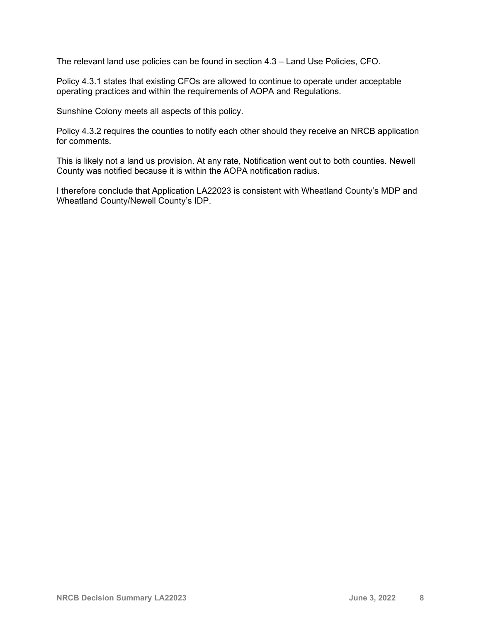The relevant land use policies can be found in section 4.3 – Land Use Policies, CFO.

Policy 4.3.1 states that existing CFOs are allowed to continue to operate under acceptable operating practices and within the requirements of AOPA and Regulations.

Sunshine Colony meets all aspects of this policy.

Policy 4.3.2 requires the counties to notify each other should they receive an NRCB application for comments.

This is likely not a land us provision. At any rate, Notification went out to both counties. Newell County was notified because it is within the AOPA notification radius.

I therefore conclude that Application LA22023 is consistent with Wheatland County's MDP and Wheatland County/Newell County's IDP.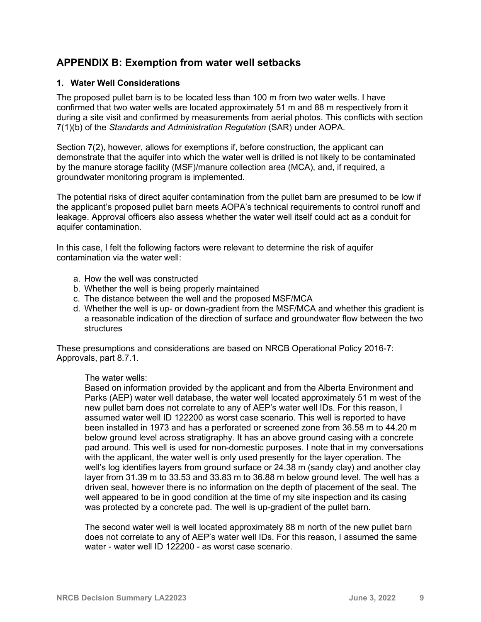# **APPENDIX B: Exemption from water well setbacks**

#### **1. Water Well Considerations**

The proposed pullet barn is to be located less than 100 m from two water wells. I have confirmed that two water wells are located approximately 51 m and 88 m respectively from it during a site visit and confirmed by measurements from aerial photos. This conflicts with section 7(1)(b) of the *Standards and Administration Regulation* (SAR) under AOPA.

Section 7(2), however, allows for exemptions if, before construction, the applicant can demonstrate that the aquifer into which the water well is drilled is not likely to be contaminated by the manure storage facility (MSF)/manure collection area (MCA), and, if required, a groundwater monitoring program is implemented.

The potential risks of direct aquifer contamination from the pullet barn are presumed to be low if the applicant's proposed pullet barn meets AOPA's technical requirements to control runoff and leakage. Approval officers also assess whether the water well itself could act as a conduit for aquifer contamination.

In this case, I felt the following factors were relevant to determine the risk of aquifer contamination via the water well:

- a. How the well was constructed
- b. Whether the well is being properly maintained
- c. The distance between the well and the proposed MSF/MCA
- d. Whether the well is up- or down-gradient from the MSF/MCA and whether this gradient is a reasonable indication of the direction of surface and groundwater flow between the two structures

These presumptions and considerations are based on NRCB Operational Policy 2016-7: Approvals, part 8.7.1.

The water wells:

Based on information provided by the applicant and from the Alberta Environment and Parks (AEP) water well database, the water well located approximately 51 m west of the new pullet barn does not correlate to any of AEP's water well IDs. For this reason, I assumed water well ID 122200 as worst case scenario. This well is reported to have been installed in 1973 and has a perforated or screened zone from 36.58 m to 44.20 m below ground level across stratigraphy. It has an above ground casing with a concrete pad around. This well is used for non-domestic purposes. I note that in my conversations with the applicant, the water well is only used presently for the layer operation. The well's log identifies layers from ground surface or 24.38 m (sandy clay) and another clay layer from 31.39 m to 33.53 and 33.83 m to 36.88 m below ground level. The well has a driven seal, however there is no information on the depth of placement of the seal. The well appeared to be in good condition at the time of my site inspection and its casing was protected by a concrete pad. The well is up-gradient of the pullet barn.

The second water well is well located approximately 88 m north of the new pullet barn does not correlate to any of AEP's water well IDs. For this reason, I assumed the same water - water well ID 122200 - as worst case scenario.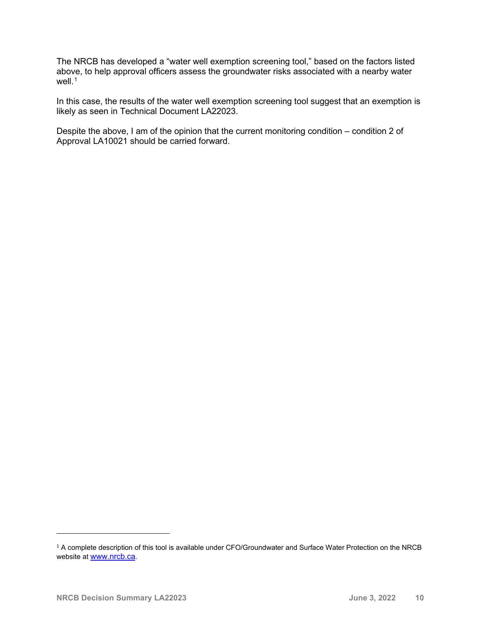The NRCB has developed a "water well exemption screening tool," based on the factors listed above, to help approval officers assess the groundwater risks associated with a nearby water well. $1$ 

In this case, the results of the water well exemption screening tool suggest that an exemption is likely as seen in Technical Document LA22023.

Despite the above, I am of the opinion that the current monitoring condition – condition 2 of Approval LA10021 should be carried forward.

<span id="page-9-0"></span><sup>&</sup>lt;sup>1</sup> A complete description of this tool is available under CFO/Groundwater and Surface Water Protection on the NRCB website at [www.nrcb.ca.](http://www.nrcb.ca/)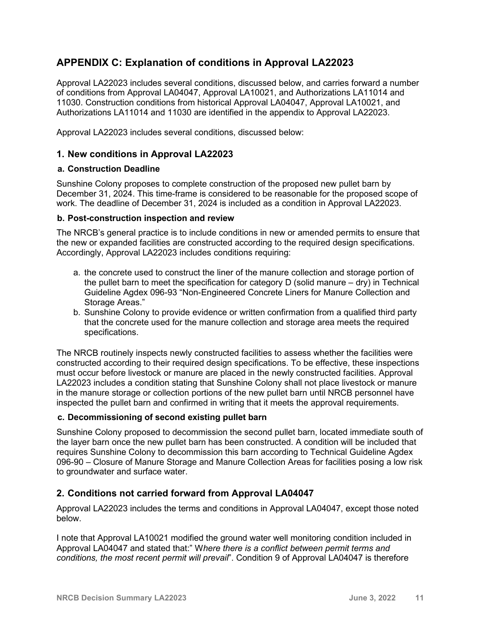# **APPENDIX C: Explanation of conditions in Approval LA22023**

Approval LA22023 includes several conditions, discussed below, and carries forward a number of conditions from Approval LA04047, Approval LA10021, and Authorizations LA11014 and 11030. Construction conditions from historical Approval LA04047, Approval LA10021, and Authorizations LA11014 and 11030 are identified in the appendix to Approval LA22023.

Approval LA22023 includes several conditions, discussed below:

#### **1. New conditions in Approval LA22023**

#### **a. Construction Deadline**

Sunshine Colony proposes to complete construction of the proposed new pullet barn by December 31, 2024. This time-frame is considered to be reasonable for the proposed scope of work. The deadline of December 31, 2024 is included as a condition in Approval LA22023.

#### **b. Post-construction inspection and review**

The NRCB's general practice is to include conditions in new or amended permits to ensure that the new or expanded facilities are constructed according to the required design specifications. Accordingly, Approval LA22023 includes conditions requiring:

- a. the concrete used to construct the liner of the manure collection and storage portion of the pullet barn to meet the specification for category D (solid manure – dry) in Technical Guideline Agdex 096-93 "Non-Engineered Concrete Liners for Manure Collection and Storage Areas."
- b. Sunshine Colony to provide evidence or written confirmation from a qualified third party that the concrete used for the manure collection and storage area meets the required specifications.

The NRCB routinely inspects newly constructed facilities to assess whether the facilities were constructed according to their required design specifications. To be effective, these inspections must occur before livestock or manure are placed in the newly constructed facilities. Approval LA22023 includes a condition stating that Sunshine Colony shall not place livestock or manure in the manure storage or collection portions of the new pullet barn until NRCB personnel have inspected the pullet barn and confirmed in writing that it meets the approval requirements.

#### **c. Decommissioning of second existing pullet barn**

Sunshine Colony proposed to decommission the second pullet barn, located immediate south of the layer barn once the new pullet barn has been constructed. A condition will be included that requires Sunshine Colony to decommission this barn according to Technical Guideline Agdex 096-90 – Closure of Manure Storage and Manure Collection Areas for facilities posing a low risk to groundwater and surface water.

#### **2. Conditions not carried forward from Approval LA04047**

Approval LA22023 includes the terms and conditions in Approval LA04047, except those noted below.

I note that Approval LA10021 modified the ground water well monitoring condition included in Approval LA04047 and stated that:" W*here there is a conflict between permit terms and conditions, the most recent permit will prevail*". Condition 9 of Approval LA04047 is therefore